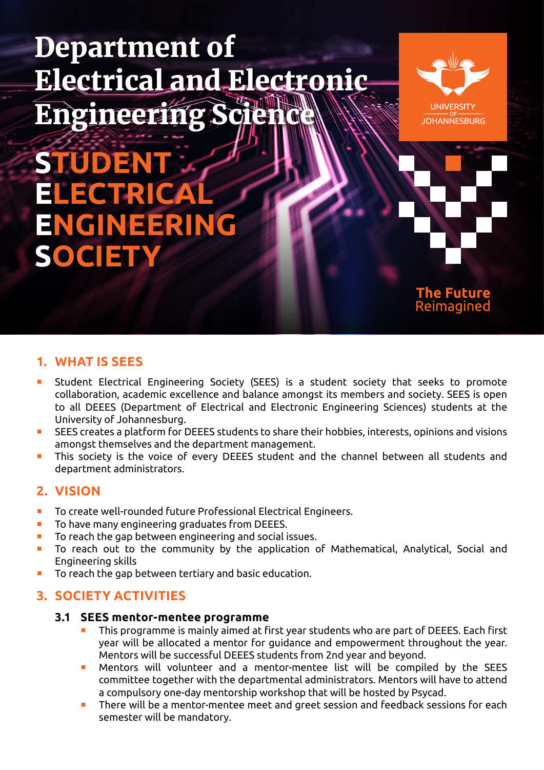# Department of Electrical and Electronic Engineering



**STUDEN** ELECTRI **ENGINEERING SOCIETY**



# **1. WHAT IS SEES**

- Student Electrical Engineering Society (SEES) is a student society that seeks to promote collaboration, academic excellence and balance amongst its members and society. SEES is open to all DEEES (Department of Electrical and Electronic Engineering Sciences) students at the University of Johannesburg.
- SEES creates a platform for DEEES students to share their hobbies, interests, opinions and visions amongst themselves and the department management.
- This society is the voice of every DEEES student and the channel between all students and department administrators.

# **2. VISION**

- **To create well-rounded future Professional Electrical Engineers.**
- To have many engineering graduates from DEEES.
- To reach the gap between engineering and social issues.
- To reach out to the community by the application of Mathematical, Analytical, Social and Engineering skills
- To reach the gap between tertiary and basic education.

# **3. SOCIETY ACTIVITIES**

- **3.1 SEES mentor-mentee programme**
	- This programme is mainly aimed at first year students who are part of DEEES. Each first year will be allocated a mentor for guidance and empowerment throughout the year. Mentors will be successful DEEES students from 2nd year and beyond.
	- Mentors will volunteer and a mentor-mentee list will be compiled by the SEES committee together with the departmental administrators. Mentors will have to attend a compulsory one-day mentorship workshop that will be hosted by Psycad.
	- There will be a mentor-mentee meet and greet session and feedback sessions for each semester will be mandatory.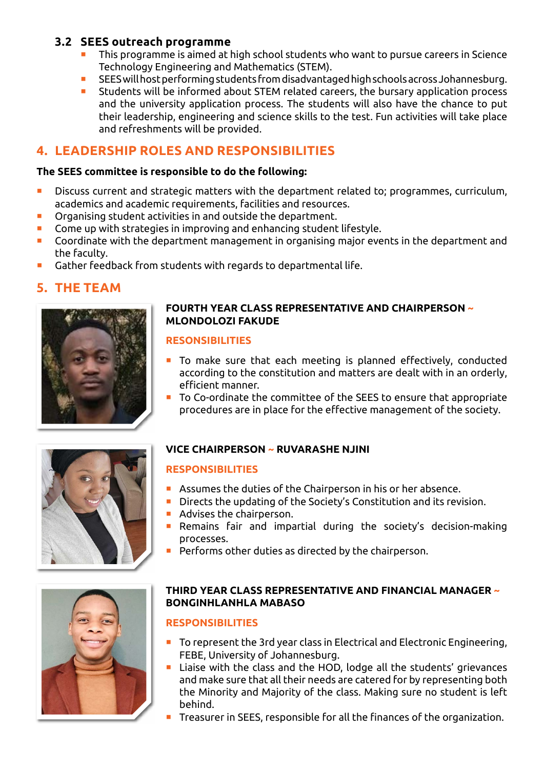# **3.2 SEES outreach programme**

- This programme is aimed at high school students who want to pursue careers in Science Technology Engineering and Mathematics (STEM).
- SEES will host performing students from disadvantaged high schools across Johannesburg.
- **EXTEM** Students will be informed about STEM related careers, the bursary application process and the university application process. The students will also have the chance to put their leadership, engineering and science skills to the test. Fun activities will take place and refreshments will be provided.

# **4. LEADERSHIP ROLES AND RESPONSIBILITIES**

### **The SEES committee is responsible to do the following:**

- **Discuss current and strategic matters with the department related to; programmes, curriculum,** academics and academic requirements, facilities and resources.
- Organising student activities in and outside the department.
- Come up with strategies in improving and enhancing student lifestyle.
- Coordinate with the department management in organising major events in the department and the faculty.
- Gather feedback from students with regards to departmental life.

# **5. THE TEAM**



### **FOURTH YEAR CLASS REPRESENTATIVE AND CHAIRPERSON ~ MLONDOLOZI FAKUDE**

#### **RESONSIBILITIES**

- To make sure that each meeting is planned effectively, conducted according to the constitution and matters are dealt with in an orderly, efficient manner.
- To Co-ordinate the committee of the SEES to ensure that appropriate procedures are in place for the effective management of the society.



# **VICE CHAIRPERSON ~ RUVARASHE NJINI**

## **RESPONSIBILITIES**

- **Assumes the duties of the Chairperson in his or her absence.**
- Directs the updating of the Society's Constitution and its revision.
- **Advises the chairperson.**
- Remains fair and impartial during the society's decision-making processes.
- Performs other duties as directed by the chairperson.



## **THIRD YEAR CLASS REPRESENTATIVE AND FINANCIAL MANAGER ~ BONGINHLANHLA MABASO**

## **RESPONSIBILITIES**

- To represent the 3rd year class in Electrical and Electronic Engineering, FEBE, University of Johannesburg.
- Liaise with the class and the HOD, lodge all the students' grievances and make sure that all their needs are catered for by representing both the Minority and Majority of the class. Making sure no student is left behind.
- Treasurer in SEES, responsible for all the finances of the organization.